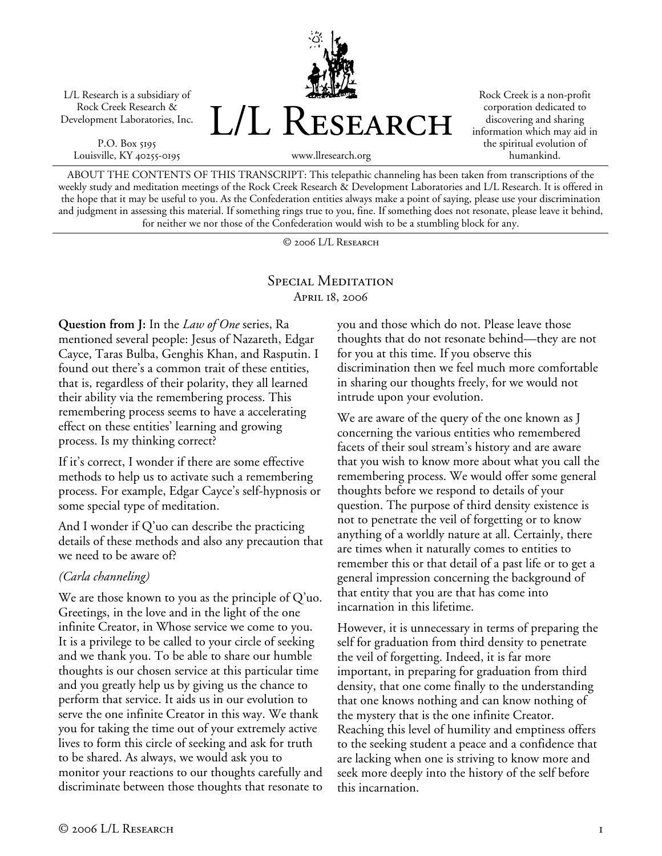L/L Research is a subsidiary of Rock Creek Research & Development Laboratories, Inc.

P.O. Box 5195 Louisville, KY 40255-0195



Rock Creek is a non-profit corporation dedicated to discovering and sharing information which may aid in the spiritual evolution of humankind.

www.llresearch.org

ABOUT THE CONTENTS OF THIS TRANSCRIPT: This telepathic channeling has been taken from transcriptions of the weekly study and meditation meetings of the Rock Creek Research & Development Laboratories and L/L Research. It is offered in the hope that it may be useful to you. As the Confederation entities always make a point of saying, please use your discrimination and judgment in assessing this material. If something rings true to you, fine. If something does not resonate, please leave it behind, for neither we nor those of the Confederation would wish to be a stumbling block for any.

© 2006 L/L Research

## SPECIAL MEDITATION April 18, 2006

**Question from J:** In the *Law of One* series, Ra mentioned several people: Jesus of Nazareth, Edgar Cayce, Taras Bulba, Genghis Khan, and Rasputin. I found out there's a common trait of these entities, that is, regardless of their polarity, they all learned their ability via the remembering process. This remembering process seems to have a accelerating effect on these entities' learning and growing process. Is my thinking correct?

If it's correct, I wonder if there are some effective methods to help us to activate such a remembering process. For example, Edgar Cayce's self-hypnosis or some special type of meditation.

And I wonder if Q'uo can describe the practicing details of these methods and also any precaution that we need to be aware of?

## *(Carla channeling)*

We are those known to you as the principle of Q'uo. Greetings, in the love and in the light of the one infinite Creator, in Whose service we come to you. It is a privilege to be called to your circle of seeking and we thank you. To be able to share our humble thoughts is our chosen service at this particular time and you greatly help us by giving us the chance to perform that service. It aids us in our evolution to serve the one infinite Creator in this way. We thank you for taking the time out of your extremely active lives to form this circle of seeking and ask for truth to be shared. As always, we would ask you to monitor your reactions to our thoughts carefully and discriminate between those thoughts that resonate to you and those which do not. Please leave those thoughts that do not resonate behind—they are not for you at this time. If you observe this discrimination then we feel much more comfortable in sharing our thoughts freely, for we would not intrude upon your evolution.

We are aware of the query of the one known as J concerning the various entities who remembered facets of their soul stream's history and are aware that you wish to know more about what you call the remembering process. We would offer some general thoughts before we respond to details of your question. The purpose of third density existence is not to penetrate the veil of forgetting or to know anything of a worldly nature at all. Certainly, there are times when it naturally comes to entities to remember this or that detail of a past life or to get a general impression concerning the background of that entity that you are that has come into incarnation in this lifetime.

However, it is unnecessary in terms of preparing the self for graduation from third density to penetrate the veil of forgetting. Indeed, it is far more important, in preparing for graduation from third density, that one come finally to the understanding that one knows nothing and can know nothing of the mystery that is the one infinite Creator. Reaching this level of humility and emptiness offers to the seeking student a peace and a confidence that are lacking when one is striving to know more and seek more deeply into the history of the self before this incarnation.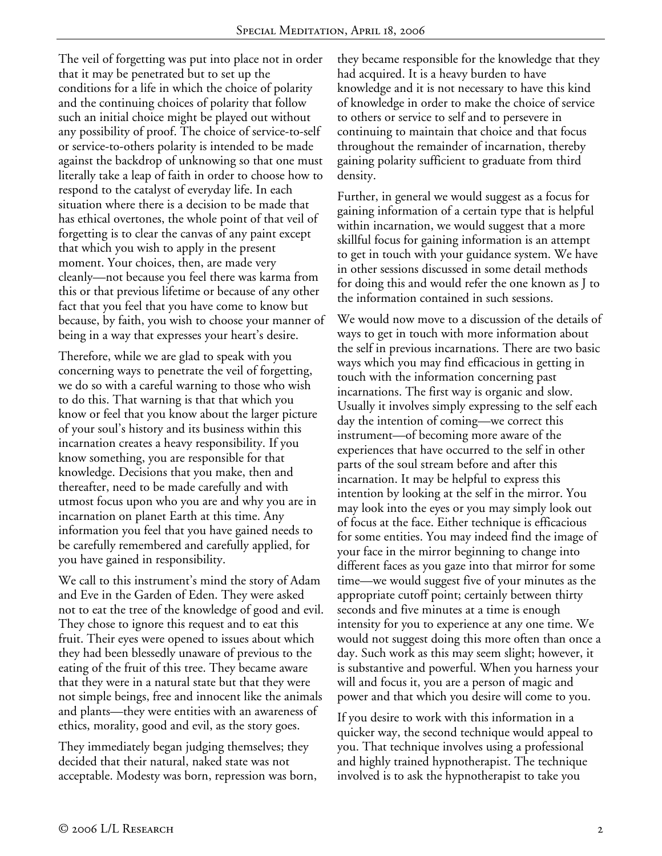The veil of forgetting was put into place not in order that it may be penetrated but to set up the conditions for a life in which the choice of polarity and the continuing choices of polarity that follow such an initial choice might be played out without any possibility of proof. The choice of service-to-self or service-to-others polarity is intended to be made against the backdrop of unknowing so that one must literally take a leap of faith in order to choose how to respond to the catalyst of everyday life. In each situation where there is a decision to be made that has ethical overtones, the whole point of that veil of forgetting is to clear the canvas of any paint except that which you wish to apply in the present moment. Your choices, then, are made very cleanly—not because you feel there was karma from this or that previous lifetime or because of any other fact that you feel that you have come to know but because, by faith, you wish to choose your manner of being in a way that expresses your heart's desire.

Therefore, while we are glad to speak with you concerning ways to penetrate the veil of forgetting, we do so with a careful warning to those who wish to do this. That warning is that that which you know or feel that you know about the larger picture of your soul's history and its business within this incarnation creates a heavy responsibility. If you know something, you are responsible for that knowledge. Decisions that you make, then and thereafter, need to be made carefully and with utmost focus upon who you are and why you are in incarnation on planet Earth at this time. Any information you feel that you have gained needs to be carefully remembered and carefully applied, for you have gained in responsibility.

We call to this instrument's mind the story of Adam and Eve in the Garden of Eden. They were asked not to eat the tree of the knowledge of good and evil. They chose to ignore this request and to eat this fruit. Their eyes were opened to issues about which they had been blessedly unaware of previous to the eating of the fruit of this tree. They became aware that they were in a natural state but that they were not simple beings, free and innocent like the animals and plants—they were entities with an awareness of ethics, morality, good and evil, as the story goes.

They immediately began judging themselves; they decided that their natural, naked state was not acceptable. Modesty was born, repression was born, they became responsible for the knowledge that they had acquired. It is a heavy burden to have knowledge and it is not necessary to have this kind of knowledge in order to make the choice of service to others or service to self and to persevere in continuing to maintain that choice and that focus throughout the remainder of incarnation, thereby gaining polarity sufficient to graduate from third density.

Further, in general we would suggest as a focus for gaining information of a certain type that is helpful within incarnation, we would suggest that a more skillful focus for gaining information is an attempt to get in touch with your guidance system. We have in other sessions discussed in some detail methods for doing this and would refer the one known as J to the information contained in such sessions.

We would now move to a discussion of the details of ways to get in touch with more information about the self in previous incarnations. There are two basic ways which you may find efficacious in getting in touch with the information concerning past incarnations. The first way is organic and slow. Usually it involves simply expressing to the self each day the intention of coming—we correct this instrument—of becoming more aware of the experiences that have occurred to the self in other parts of the soul stream before and after this incarnation. It may be helpful to express this intention by looking at the self in the mirror. You may look into the eyes or you may simply look out of focus at the face. Either technique is efficacious for some entities. You may indeed find the image of your face in the mirror beginning to change into different faces as you gaze into that mirror for some time—we would suggest five of your minutes as the appropriate cutoff point; certainly between thirty seconds and five minutes at a time is enough intensity for you to experience at any one time. We would not suggest doing this more often than once a day. Such work as this may seem slight; however, it is substantive and powerful. When you harness your will and focus it, you are a person of magic and power and that which you desire will come to you.

If you desire to work with this information in a quicker way, the second technique would appeal to you. That technique involves using a professional and highly trained hypnotherapist. The technique involved is to ask the hypnotherapist to take you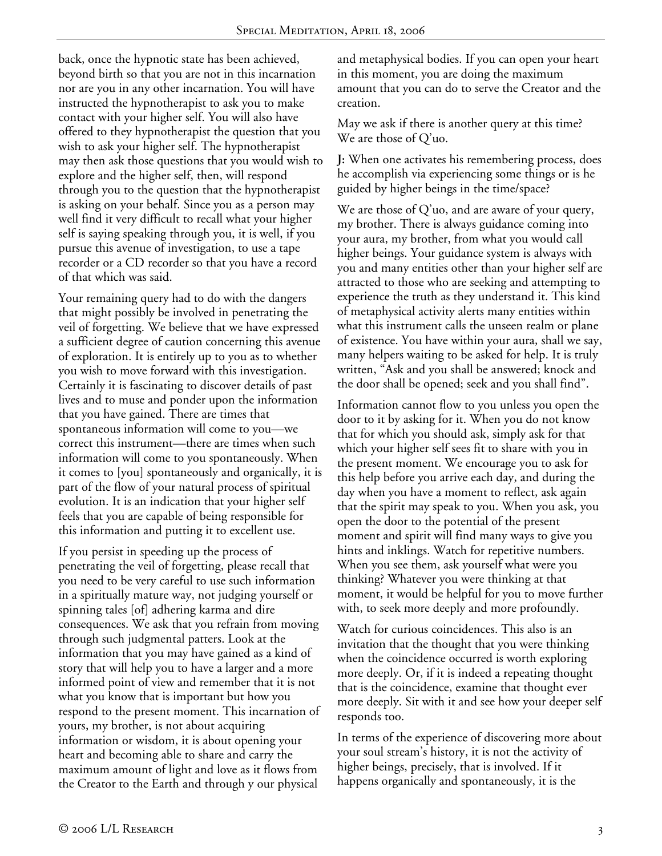back, once the hypnotic state has been achieved, beyond birth so that you are not in this incarnation nor are you in any other incarnation. You will have instructed the hypnotherapist to ask you to make contact with your higher self. You will also have offered to they hypnotherapist the question that you wish to ask your higher self. The hypnotherapist may then ask those questions that you would wish to explore and the higher self, then, will respond through you to the question that the hypnotherapist is asking on your behalf. Since you as a person may well find it very difficult to recall what your higher self is saying speaking through you, it is well, if you pursue this avenue of investigation, to use a tape recorder or a CD recorder so that you have a record of that which was said.

Your remaining query had to do with the dangers that might possibly be involved in penetrating the veil of forgetting. We believe that we have expressed a sufficient degree of caution concerning this avenue of exploration. It is entirely up to you as to whether you wish to move forward with this investigation. Certainly it is fascinating to discover details of past lives and to muse and ponder upon the information that you have gained. There are times that spontaneous information will come to you—we correct this instrument—there are times when such information will come to you spontaneously. When it comes to [you] spontaneously and organically, it is part of the flow of your natural process of spiritual evolution. It is an indication that your higher self feels that you are capable of being responsible for this information and putting it to excellent use.

If you persist in speeding up the process of penetrating the veil of forgetting, please recall that you need to be very careful to use such information in a spiritually mature way, not judging yourself or spinning tales [of] adhering karma and dire consequences. We ask that you refrain from moving through such judgmental patters. Look at the information that you may have gained as a kind of story that will help you to have a larger and a more informed point of view and remember that it is not what you know that is important but how you respond to the present moment. This incarnation of yours, my brother, is not about acquiring information or wisdom, it is about opening your heart and becoming able to share and carry the maximum amount of light and love as it flows from the Creator to the Earth and through y our physical

and metaphysical bodies. If you can open your heart in this moment, you are doing the maximum amount that you can do to serve the Creator and the creation.

May we ask if there is another query at this time? We are those of Q'uo.

**J:** When one activates his remembering process, does he accomplish via experiencing some things or is he guided by higher beings in the time/space?

We are those of Q'uo, and are aware of your query, my brother. There is always guidance coming into your aura, my brother, from what you would call higher beings. Your guidance system is always with you and many entities other than your higher self are attracted to those who are seeking and attempting to experience the truth as they understand it. This kind of metaphysical activity alerts many entities within what this instrument calls the unseen realm or plane of existence. You have within your aura, shall we say, many helpers waiting to be asked for help. It is truly written, "Ask and you shall be answered; knock and the door shall be opened; seek and you shall find".

Information cannot flow to you unless you open the door to it by asking for it. When you do not know that for which you should ask, simply ask for that which your higher self sees fit to share with you in the present moment. We encourage you to ask for this help before you arrive each day, and during the day when you have a moment to reflect, ask again that the spirit may speak to you. When you ask, you open the door to the potential of the present moment and spirit will find many ways to give you hints and inklings. Watch for repetitive numbers. When you see them, ask yourself what were you thinking? Whatever you were thinking at that moment, it would be helpful for you to move further with, to seek more deeply and more profoundly.

Watch for curious coincidences. This also is an invitation that the thought that you were thinking when the coincidence occurred is worth exploring more deeply. Or, if it is indeed a repeating thought that is the coincidence, examine that thought ever more deeply. Sit with it and see how your deeper self responds too.

In terms of the experience of discovering more about your soul stream's history, it is not the activity of higher beings, precisely, that is involved. If it happens organically and spontaneously, it is the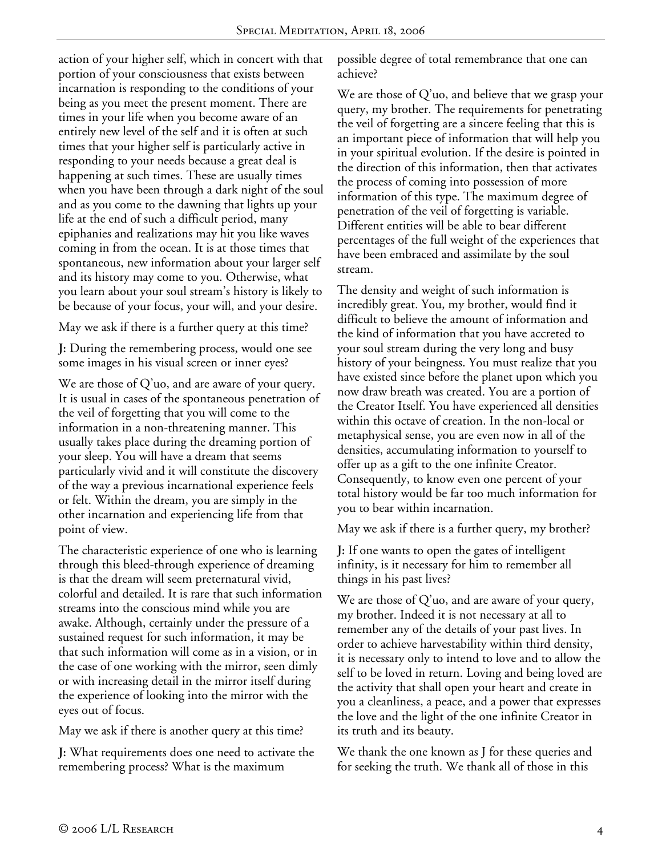action of your higher self, which in concert with that portion of your consciousness that exists between incarnation is responding to the conditions of your being as you meet the present moment. There are times in your life when you become aware of an entirely new level of the self and it is often at such times that your higher self is particularly active in responding to your needs because a great deal is happening at such times. These are usually times when you have been through a dark night of the soul and as you come to the dawning that lights up your life at the end of such a difficult period, many epiphanies and realizations may hit you like waves coming in from the ocean. It is at those times that spontaneous, new information about your larger self and its history may come to you. Otherwise, what you learn about your soul stream's history is likely to be because of your focus, your will, and your desire.

May we ask if there is a further query at this time?

**J:** During the remembering process, would one see some images in his visual screen or inner eyes?

We are those of Q'uo, and are aware of your query. It is usual in cases of the spontaneous penetration of the veil of forgetting that you will come to the information in a non-threatening manner. This usually takes place during the dreaming portion of your sleep. You will have a dream that seems particularly vivid and it will constitute the discovery of the way a previous incarnational experience feels or felt. Within the dream, you are simply in the other incarnation and experiencing life from that point of view.

The characteristic experience of one who is learning through this bleed-through experience of dreaming is that the dream will seem preternatural vivid, colorful and detailed. It is rare that such information streams into the conscious mind while you are awake. Although, certainly under the pressure of a sustained request for such information, it may be that such information will come as in a vision, or in the case of one working with the mirror, seen dimly or with increasing detail in the mirror itself during the experience of looking into the mirror with the eyes out of focus.

May we ask if there is another query at this time?

**J:** What requirements does one need to activate the remembering process? What is the maximum

possible degree of total remembrance that one can achieve?

We are those of Q'uo, and believe that we grasp your query, my brother. The requirements for penetrating the veil of forgetting are a sincere feeling that this is an important piece of information that will help you in your spiritual evolution. If the desire is pointed in the direction of this information, then that activates the process of coming into possession of more information of this type. The maximum degree of penetration of the veil of forgetting is variable. Different entities will be able to bear different percentages of the full weight of the experiences that have been embraced and assimilate by the soul stream.

The density and weight of such information is incredibly great. You, my brother, would find it difficult to believe the amount of information and the kind of information that you have accreted to your soul stream during the very long and busy history of your beingness. You must realize that you have existed since before the planet upon which you now draw breath was created. You are a portion of the Creator Itself. You have experienced all densities within this octave of creation. In the non-local or metaphysical sense, you are even now in all of the densities, accumulating information to yourself to offer up as a gift to the one infinite Creator. Consequently, to know even one percent of your total history would be far too much information for you to bear within incarnation.

May we ask if there is a further query, my brother?

**J:** If one wants to open the gates of intelligent infinity, is it necessary for him to remember all things in his past lives?

We are those of Q'uo, and are aware of your query, my brother. Indeed it is not necessary at all to remember any of the details of your past lives. In order to achieve harvestability within third density, it is necessary only to intend to love and to allow the self to be loved in return. Loving and being loved are the activity that shall open your heart and create in you a cleanliness, a peace, and a power that expresses the love and the light of the one infinite Creator in its truth and its beauty.

We thank the one known as J for these queries and for seeking the truth. We thank all of those in this